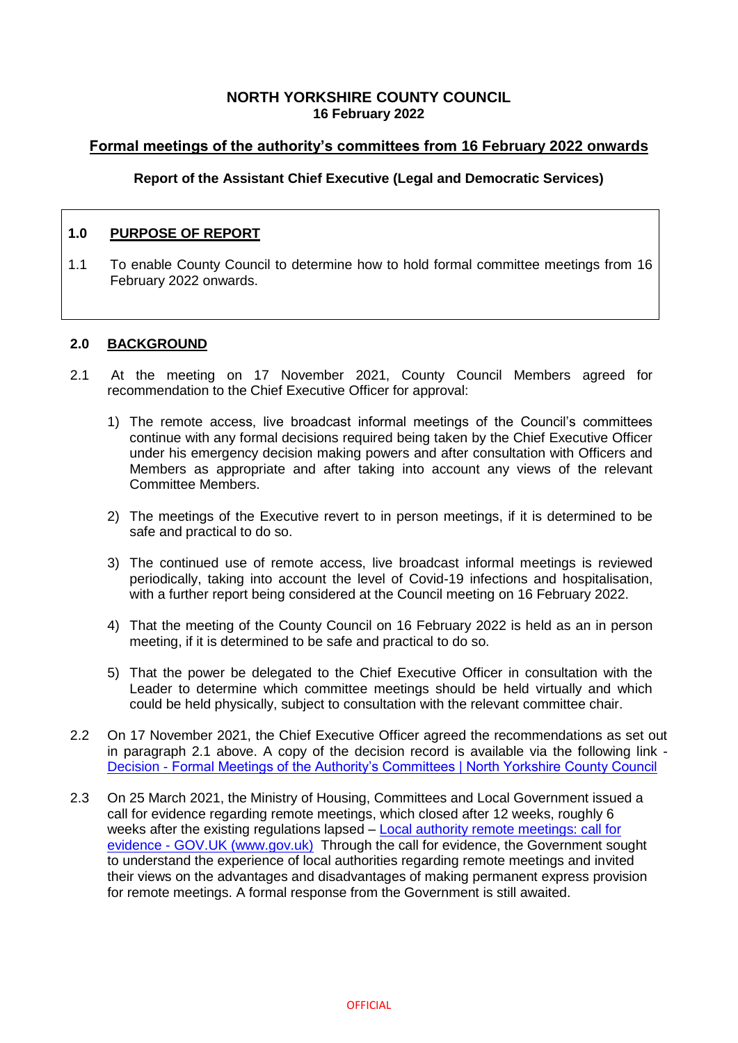### **NORTH YORKSHIRE COUNTY COUNCIL 16 February 2022**

# **Formal meetings of the authority's committees from 16 February 2022 onwards**

### **Report of the Assistant Chief Executive (Legal and Democratic Services)**

### **1.0 PURPOSE OF REPORT**

1.1 To enable County Council to determine how to hold formal committee meetings from 16 February 2022 onwards.

#### **2.0 BACKGROUND**

- 2.1 At the meeting on 17 November 2021, County Council Members agreed for recommendation to the Chief Executive Officer for approval:
	- 1) The remote access, live broadcast informal meetings of the Council's committees continue with any formal decisions required being taken by the Chief Executive Officer under his emergency decision making powers and after consultation with Officers and Members as appropriate and after taking into account any views of the relevant Committee Members.
	- 2) The meetings of the Executive revert to in person meetings, if it is determined to be safe and practical to do so.
	- 3) The continued use of remote access, live broadcast informal meetings is reviewed periodically, taking into account the level of Covid-19 infections and hospitalisation, with a further report being considered at the Council meeting on 16 February 2022.
	- 4) That the meeting of the County Council on 16 February 2022 is held as an in person meeting, if it is determined to be safe and practical to do so.
	- 5) That the power be delegated to the Chief Executive Officer in consultation with the Leader to determine which committee meetings should be held virtually and which could be held physically, subject to consultation with the relevant committee chair.
- 2.2 On 17 November 2021, the Chief Executive Officer agreed the recommendations as set out in paragraph 2.1 above. A copy of the decision record is available via the following link - Decision - [Formal Meetings of the Authority's Committees | North Yorkshire County Council](https://edemocracy.northyorks.gov.uk/ieDecisionDetails.aspx?ID=1251)
- 2.3 On 25 March 2021, the Ministry of Housing, Committees and Local Government issued a call for evidence regarding remote meetings, which closed after 12 weeks, roughly 6 weeks after the existing regulations lapsed – [Local authority remote meetings: call for](https://www.gov.uk/government/consultations/local-authority-remote-meetings-call-for-evidence/local-authority-remote-meetings-call-for-evidence)  evidence - [GOV.UK \(www.gov.uk\)](https://www.gov.uk/government/consultations/local-authority-remote-meetings-call-for-evidence/local-authority-remote-meetings-call-for-evidence) Through the call for evidence, the Government sought to understand the experience of local authorities regarding remote meetings and invited their views on the advantages and disadvantages of making permanent express provision for remote meetings. A formal response from the Government is still awaited.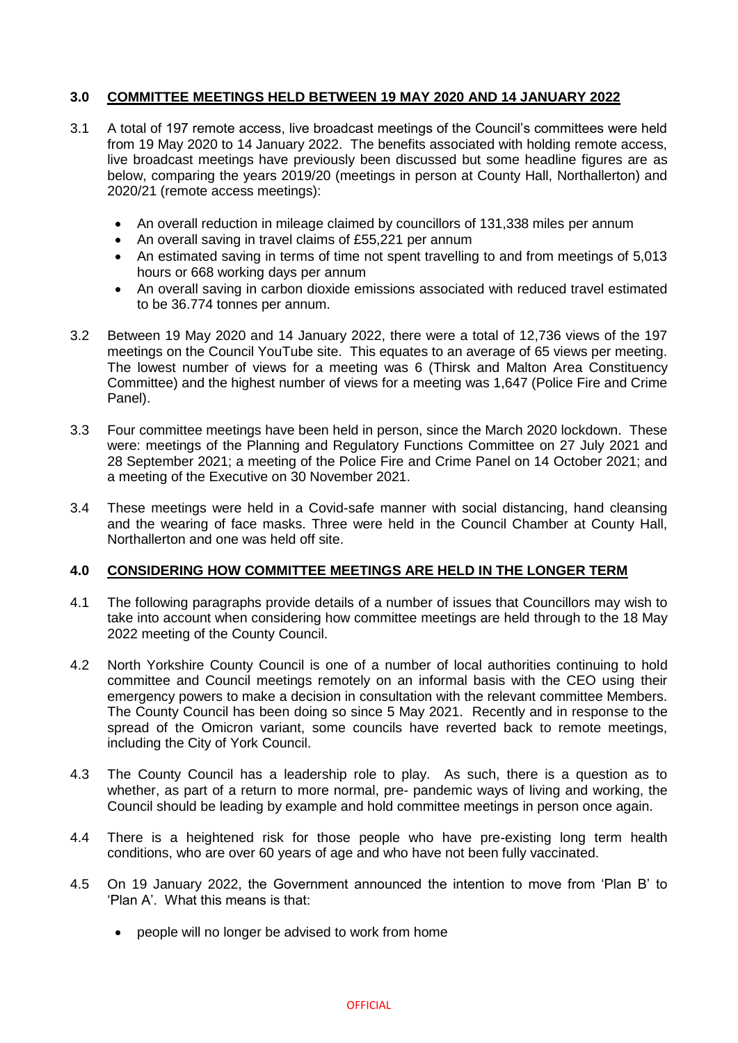## **3.0 COMMITTEE MEETINGS HELD BETWEEN 19 MAY 2020 AND 14 JANUARY 2022**

- 3.1 A total of 197 remote access, live broadcast meetings of the Council's committees were held from 19 May 2020 to 14 January 2022. The benefits associated with holding remote access, live broadcast meetings have previously been discussed but some headline figures are as below, comparing the years 2019/20 (meetings in person at County Hall, Northallerton) and 2020/21 (remote access meetings):
	- An overall reduction in mileage claimed by councillors of 131,338 miles per annum
	- An overall saving in travel claims of £55,221 per annum
	- An estimated saving in terms of time not spent travelling to and from meetings of 5,013 hours or 668 working days per annum
	- An overall saving in carbon dioxide emissions associated with reduced travel estimated to be 36.774 tonnes per annum.
- 3.2 Between 19 May 2020 and 14 January 2022, there were a total of 12,736 views of the 197 meetings on the Council YouTube site. This equates to an average of 65 views per meeting. The lowest number of views for a meeting was 6 (Thirsk and Malton Area Constituency Committee) and the highest number of views for a meeting was 1,647 (Police Fire and Crime Panel).
- 3.3 Four committee meetings have been held in person, since the March 2020 lockdown. These were: meetings of the Planning and Regulatory Functions Committee on 27 July 2021 and 28 September 2021; a meeting of the Police Fire and Crime Panel on 14 October 2021; and a meeting of the Executive on 30 November 2021.
- 3.4 These meetings were held in a Covid-safe manner with social distancing, hand cleansing and the wearing of face masks. Three were held in the Council Chamber at County Hall, Northallerton and one was held off site.

### **4.0 CONSIDERING HOW COMMITTEE MEETINGS ARE HELD IN THE LONGER TERM**

- 4.1 The following paragraphs provide details of a number of issues that Councillors may wish to take into account when considering how committee meetings are held through to the 18 May 2022 meeting of the County Council.
- 4.2 North Yorkshire County Council is one of a number of local authorities continuing to hold committee and Council meetings remotely on an informal basis with the CEO using their emergency powers to make a decision in consultation with the relevant committee Members. The County Council has been doing so since 5 May 2021. Recently and in response to the spread of the Omicron variant, some councils have reverted back to remote meetings, including the City of York Council.
- 4.3 The County Council has a leadership role to play. As such, there is a question as to whether, as part of a return to more normal, pre- pandemic ways of living and working, the Council should be leading by example and hold committee meetings in person once again.
- 4.4 There is a heightened risk for those people who have pre-existing long term health conditions, who are over 60 years of age and who have not been fully vaccinated.
- 4.5 On 19 January 2022, the Government announced the intention to move from 'Plan B' to 'Plan A'. What this means is that:
	- people will no longer be advised to work from home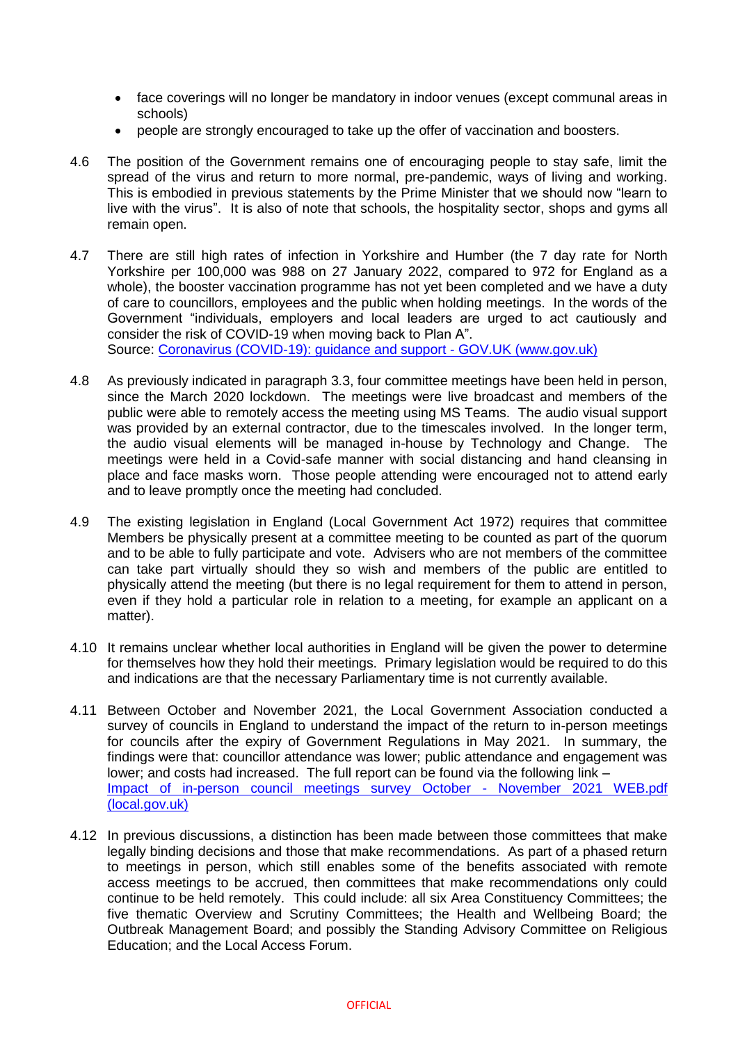- face coverings will no longer be mandatory in indoor venues (except communal areas in schools)
- people are strongly encouraged to take up the offer of vaccination and boosters.
- 4.6 The position of the Government remains one of encouraging people to stay safe, limit the spread of the virus and return to more normal, pre-pandemic, ways of living and working. This is embodied in previous statements by the Prime Minister that we should now "learn to live with the virus". It is also of note that schools, the hospitality sector, shops and gyms all remain open.
- 4.7 There are still high rates of infection in Yorkshire and Humber (the 7 day rate for North Yorkshire per 100,000 was 988 on 27 January 2022, compared to 972 for England as a whole), the booster vaccination programme has not yet been completed and we have a duty of care to councillors, employees and the public when holding meetings. In the words of the Government "individuals, employers and local leaders are urged to act cautiously and consider the risk of COVID-19 when moving back to Plan A".

Source: [Coronavirus \(COVID-19\): guidance and support -](https://www.gov.uk/coronavirus) GOV.UK (www.gov.uk)

- 4.8 As previously indicated in paragraph 3.3, four committee meetings have been held in person, since the March 2020 lockdown. The meetings were live broadcast and members of the public were able to remotely access the meeting using MS Teams. The audio visual support was provided by an external contractor, due to the timescales involved. In the longer term, the audio visual elements will be managed in-house by Technology and Change. The meetings were held in a Covid-safe manner with social distancing and hand cleansing in place and face masks worn. Those people attending were encouraged not to attend early and to leave promptly once the meeting had concluded.
- 4.9 The existing legislation in England (Local Government Act 1972) requires that committee Members be physically present at a committee meeting to be counted as part of the quorum and to be able to fully participate and vote. Advisers who are not members of the committee can take part virtually should they so wish and members of the public are entitled to physically attend the meeting (but there is no legal requirement for them to attend in person, even if they hold a particular role in relation to a meeting, for example an applicant on a matter).
- 4.10 It remains unclear whether local authorities in England will be given the power to determine for themselves how they hold their meetings. Primary legislation would be required to do this and indications are that the necessary Parliamentary time is not currently available.
- 4.11 Between October and November 2021, the Local Government Association conducted a survey of councils in England to understand the impact of the return to in-person meetings for councils after the expiry of Government Regulations in May 2021. In summary, the findings were that: councillor attendance was lower; public attendance and engagement was lower; and costs had increased. The full report can be found via the following link – [Impact of in-person council meetings survey October -](https://www.local.gov.uk/sites/default/files/documents/Impact%20of%20in-person%20council%20meetings%20survey%20October%20-%20November%202021%20WEB.pdf) November 2021 WEB.pdf [\(local.gov.uk\)](https://www.local.gov.uk/sites/default/files/documents/Impact%20of%20in-person%20council%20meetings%20survey%20October%20-%20November%202021%20WEB.pdf)
- 4.12 In previous discussions, a distinction has been made between those committees that make legally binding decisions and those that make recommendations. As part of a phased return to meetings in person, which still enables some of the benefits associated with remote access meetings to be accrued, then committees that make recommendations only could continue to be held remotely. This could include: all six Area Constituency Committees; the five thematic Overview and Scrutiny Committees; the Health and Wellbeing Board; the Outbreak Management Board; and possibly the Standing Advisory Committee on Religious Education; and the Local Access Forum.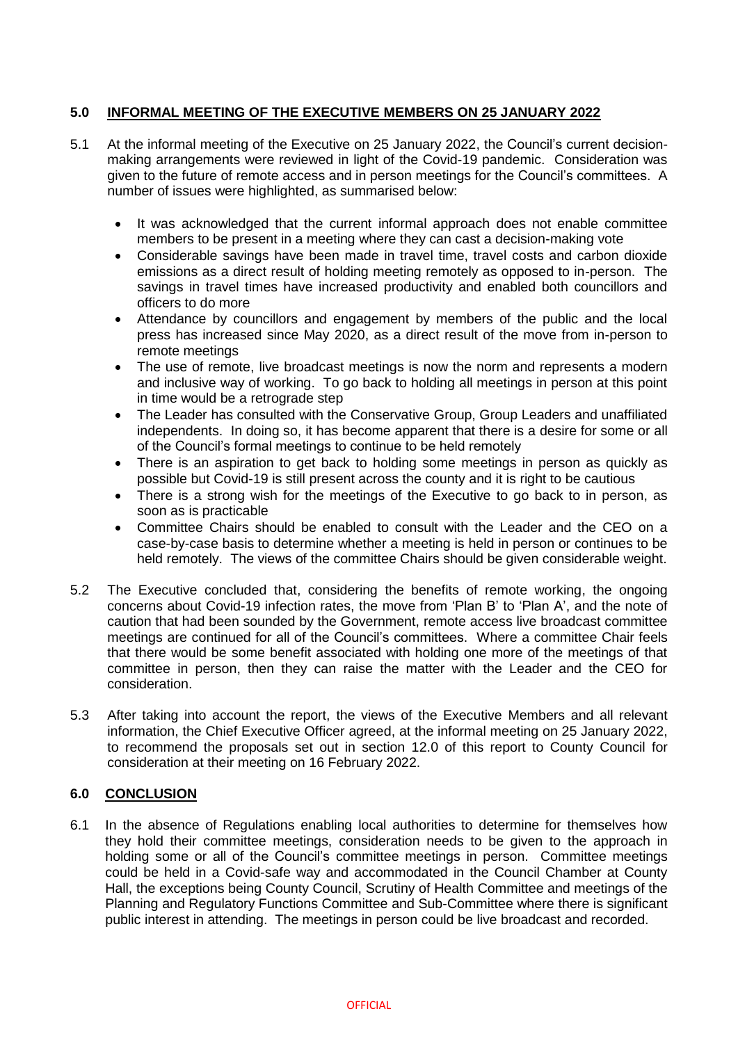## **5.0 INFORMAL MEETING OF THE EXECUTIVE MEMBERS ON 25 JANUARY 2022**

- 5.1 At the informal meeting of the Executive on 25 January 2022, the Council's current decisionmaking arrangements were reviewed in light of the Covid-19 pandemic. Consideration was given to the future of remote access and in person meetings for the Council's committees. A number of issues were highlighted, as summarised below:
	- It was acknowledged that the current informal approach does not enable committee members to be present in a meeting where they can cast a decision-making vote
	- Considerable savings have been made in travel time, travel costs and carbon dioxide emissions as a direct result of holding meeting remotely as opposed to in-person. The savings in travel times have increased productivity and enabled both councillors and officers to do more
	- Attendance by councillors and engagement by members of the public and the local press has increased since May 2020, as a direct result of the move from in-person to remote meetings
	- The use of remote, live broadcast meetings is now the norm and represents a modern and inclusive way of working. To go back to holding all meetings in person at this point in time would be a retrograde step
	- The Leader has consulted with the Conservative Group, Group Leaders and unaffiliated independents. In doing so, it has become apparent that there is a desire for some or all of the Council's formal meetings to continue to be held remotely
	- There is an aspiration to get back to holding some meetings in person as quickly as possible but Covid-19 is still present across the county and it is right to be cautious
	- There is a strong wish for the meetings of the Executive to go back to in person, as soon as is practicable
	- Committee Chairs should be enabled to consult with the Leader and the CEO on a case-by-case basis to determine whether a meeting is held in person or continues to be held remotely. The views of the committee Chairs should be given considerable weight.
- 5.2 The Executive concluded that, considering the benefits of remote working, the ongoing concerns about Covid-19 infection rates, the move from 'Plan B' to 'Plan A', and the note of caution that had been sounded by the Government, remote access live broadcast committee meetings are continued for all of the Council's committees. Where a committee Chair feels that there would be some benefit associated with holding one more of the meetings of that committee in person, then they can raise the matter with the Leader and the CEO for consideration.
- 5.3 After taking into account the report, the views of the Executive Members and all relevant information, the Chief Executive Officer agreed, at the informal meeting on 25 January 2022, to recommend the proposals set out in section 12.0 of this report to County Council for consideration at their meeting on 16 February 2022.

### **6.0 CONCLUSION**

6.1 In the absence of Regulations enabling local authorities to determine for themselves how they hold their committee meetings, consideration needs to be given to the approach in holding some or all of the Council's committee meetings in person. Committee meetings could be held in a Covid-safe way and accommodated in the Council Chamber at County Hall, the exceptions being County Council, Scrutiny of Health Committee and meetings of the Planning and Regulatory Functions Committee and Sub-Committee where there is significant public interest in attending. The meetings in person could be live broadcast and recorded.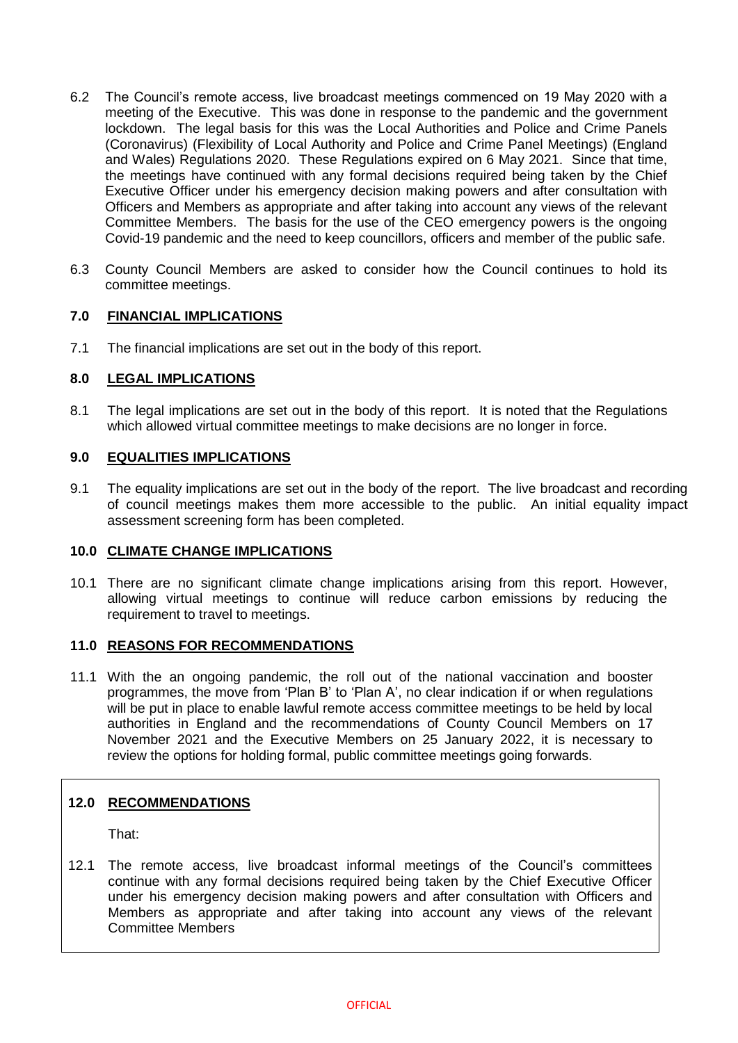- 6.2 The Council's remote access, live broadcast meetings commenced on 19 May 2020 with a meeting of the Executive. This was done in response to the pandemic and the government lockdown. The legal basis for this was the Local Authorities and Police and Crime Panels (Coronavirus) (Flexibility of Local Authority and Police and Crime Panel Meetings) (England and Wales) Regulations 2020. These Regulations expired on 6 May 2021. Since that time, the meetings have continued with any formal decisions required being taken by the Chief Executive Officer under his emergency decision making powers and after consultation with Officers and Members as appropriate and after taking into account any views of the relevant Committee Members. The basis for the use of the CEO emergency powers is the ongoing Covid-19 pandemic and the need to keep councillors, officers and member of the public safe.
- 6.3 County Council Members are asked to consider how the Council continues to hold its committee meetings.

### **7.0 FINANCIAL IMPLICATIONS**

7.1 The financial implications are set out in the body of this report.

## **8.0 LEGAL IMPLICATIONS**

8.1 The legal implications are set out in the body of this report. It is noted that the Regulations which allowed virtual committee meetings to make decisions are no longer in force.

### **9.0 EQUALITIES IMPLICATIONS**

9.1 The equality implications are set out in the body of the report. The live broadcast and recording of council meetings makes them more accessible to the public. An initial equality impact assessment screening form has been completed.

### **10.0 CLIMATE CHANGE IMPLICATIONS**

10.1 There are no significant climate change implications arising from this report. However, allowing virtual meetings to continue will reduce carbon emissions by reducing the requirement to travel to meetings.

### **11.0 REASONS FOR RECOMMENDATIONS**

11.1 With the an ongoing pandemic, the roll out of the national vaccination and booster programmes, the move from 'Plan B' to 'Plan A', no clear indication if or when regulations will be put in place to enable lawful remote access committee meetings to be held by local authorities in England and the recommendations of County Council Members on 17 November 2021 and the Executive Members on 25 January 2022, it is necessary to review the options for holding formal, public committee meetings going forwards.

### **12.0 RECOMMENDATIONS**

That:

12.1 The remote access, live broadcast informal meetings of the Council's committees continue with any formal decisions required being taken by the Chief Executive Officer under his emergency decision making powers and after consultation with Officers and Members as appropriate and after taking into account any views of the relevant Committee Members